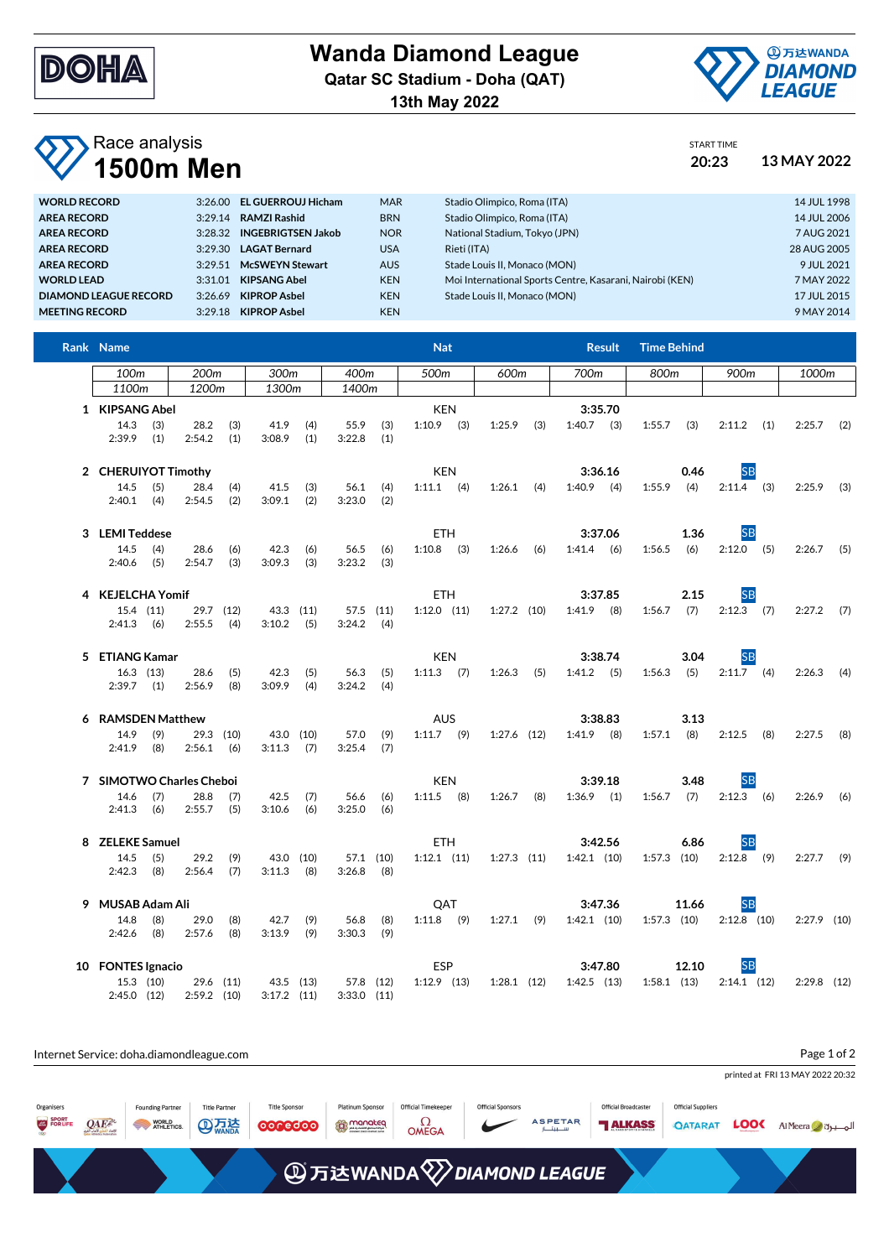

## **Wanda Diamond League**

**Qatar SC Stadium - Doha (QAT)**

**13th May 2022**



## Race analysis **1500m Men 20:23 13 MAY 2022**

| START TIME |  |
|------------|--|
| ∘יה∩       |  |

| <b>WORLD RECORD</b>   | 3:26.00 | <b>EL GUERROUJ Hicham</b> | <b>MAR</b> | Stadio Olimpico, Roma (ITA)                              | 14 JUL 1998 |
|-----------------------|---------|---------------------------|------------|----------------------------------------------------------|-------------|
| <b>AREA RECORD</b>    | 3:29.14 | <b>RAMZI Rashid</b>       | <b>BRN</b> | Stadio Olimpico, Roma (ITA)                              | 14 JUL 2006 |
| <b>AREA RECORD</b>    | 3:28.32 | <b>INGEBRIGTSEN Jakob</b> | <b>NOR</b> | National Stadium, Tokyo (JPN)                            | 7 AUG 2021  |
| <b>AREA RECORD</b>    | 3:29.30 | <b>LAGAT Bernard</b>      | <b>USA</b> | Rieti (ITA)                                              | 28 AUG 2005 |
| <b>AREA RECORD</b>    | 3:29.51 | <b>McSWEYN Stewart</b>    | <b>AUS</b> | Stade Louis II. Monaco (MON)                             | 9 JUL 2021  |
| <b>WORLD LEAD</b>     | 3:31.01 | <b>KIPSANG Abel</b>       | <b>KEN</b> | Moi International Sports Centre, Kasarani, Nairobi (KEN) | 7 MAY 2022  |
| DIAMOND LEAGUE RECORD | 3:26.69 | <b>KIPROP Asbel</b>       | <b>KEN</b> | Stade Louis II, Monaco (MON)                             | 17 JUL 2015 |
| <b>MEETING RECORD</b> | 3:29.18 | <b>KIPROP Asbel</b>       | <b>KEN</b> |                                                          | 9 MAY 2014  |
|                       |         |                           |            |                                                          |             |

| Rank Name                |               |                         |           |                 |           |               |      | <b>Nat</b>      |      |                 |      |                 | <b>Result</b> | <b>Time Behind</b> |       |                             |               |  |
|--------------------------|---------------|-------------------------|-----------|-----------------|-----------|---------------|------|-----------------|------|-----------------|------|-----------------|---------------|--------------------|-------|-----------------------------|---------------|--|
| 100m<br>200m<br>300m     |               |                         | 400m      |                 | 500m      |               | 600m |                 | 700m |                 | 800m |                 | 900m          | 1000m              |       |                             |               |  |
| 1100m                    |               | 1200m                   |           | 1300m           |           | 1400m         |      |                 |      |                 |      |                 |               |                    |       |                             |               |  |
| 1 KIPSANG Abel           |               |                         |           |                 |           |               |      | <b>KEN</b>      |      |                 |      |                 | 3:35.70       |                    |       |                             |               |  |
| 14.3                     | (3)           | 28.2                    | (3)       | 41.9            | (4)       | 55.9          | (3)  | $1:10.9$ (3)    |      | 1:25.9          | (3)  | $1:40.7$ (3)    |               | 1:55.7             | (3)   | $2:11.2$ (1)                | $2:25.7$ (2)  |  |
| $2:39.9$ (1)             |               | 2:54.2                  | (1)       | 3:08.9          | (1)       | 3:22.8        | (1)  |                 |      |                 |      |                 |               |                    |       |                             |               |  |
| 2 CHERUIYOT Timothy      |               |                         |           |                 |           |               |      | <b>KEN</b>      |      |                 |      |                 | 3:36.16       |                    | 0.46  | <b>SB</b>                   |               |  |
| 14.5                     | (5)           | 28.4                    | (4)       | 41.5            | (3)       | $56.1$ (4)    |      | $1:11.1$ (4)    |      | $1:26.1$ (4)    |      | $1:40.9$ (4)    |               | $1:55.9$ (4)       |       | $2:11.4$ (3)                | $2:25.9$ (3)  |  |
| $2:40.1$ (4)             |               | 2:54.5                  | (2)       | 3:09.1          | (2)       | 3:23.0        | (2)  |                 |      |                 |      |                 |               |                    |       |                             |               |  |
| 3 LEMI Teddese           |               |                         |           |                 |           |               |      | <b>ETH</b>      |      |                 |      |                 | 3:37.06       |                    | 1.36  | <b>SB</b>                   |               |  |
| 14.5                     | (4)           | 28.6                    | (6)       | 42.3            | (6)       | 56.5          | (6)  | $1:10.8$ (3)    |      | $1:26.6$ (6)    |      | 1:41.4          | (6)           | 1:56.5             | (6)   | $2:12.0$ (5)                | $2:26.7$ (5)  |  |
| $2:40.6$ (5)             |               | 2:54.7                  | (3)       | 3:09.3          | (3)       | 3:23.2        | (3)  |                 |      |                 |      |                 |               |                    |       |                             |               |  |
| 4 KEJELCHA Yomif         |               |                         |           |                 |           |               |      | <b>ETH</b>      |      |                 |      |                 | 3:37.85       |                    | 2.15  | <b>SB</b>                   |               |  |
|                          | 15.4 (11)     |                         | 29.7 (12) | 43.3 (11)       |           | 57.5 (11)     |      | $1:12.0$ $(11)$ |      | $1:27.2$ (10)   |      | $1:41.9$ (8)    |               | 1:56.7             | (7)   | $2:12.3$ (7)                | $2:27.2$ (7)  |  |
| $2:41.3$ (6)             |               | 2:55.5                  | (4)       | $3:10.2$ (5)    |           | $3:24.2$ (4)  |      |                 |      |                 |      |                 |               |                    |       |                             |               |  |
| 5 ETIANG Kamar           |               |                         |           |                 |           |               |      | <b>KEN</b>      |      |                 |      |                 | 3:38.74       |                    | 3.04  | <b>SB</b>                   |               |  |
|                          | $16.3$ (13)   | 28.6                    | (5)       | 42.3            | (5)       | 56.3          | (5)  | $1:11.3$ (7)    |      | $1:26.3$ (5)    |      | $1:41.2$ (5)    |               | 1:56.3             | (5)   | $2:11.7$ (4)                | $2:26.3$ (4)  |  |
| $2:39.7$ (1)             |               | 2:56.9                  | (8)       | 3:09.9          | (4)       | 3:24.2        | (4)  |                 |      |                 |      |                 |               |                    |       |                             |               |  |
| 6 RAMSDEN Matthew        |               |                         |           |                 |           |               |      | <b>AUS</b>      |      |                 |      |                 | 3:38.83       |                    | 3.13  |                             |               |  |
| 14.9                     | (9)           |                         | 29.3 (10) | 43.0 (10)       |           | 57.0          | (9)  | $1:11.7$ (9)    |      | $1:27.6$ $(12)$ |      | $1:41.9$ (8)    |               | $1:57.1$ (8)       |       | $2:12.5$ (8)                | $2:27.5$ (8)  |  |
| $2:41.9$ (8)             |               | $2:56.1$ (6)            |           | 3:11.3          | (7)       | 3:25.4        | (7)  |                 |      |                 |      |                 |               |                    |       |                             |               |  |
| 7 SIMOTWO Charles Cheboi |               |                         |           |                 |           |               |      | <b>KEN</b>      |      |                 |      | 3:39.18         |               | 3.48               |       | <b>SB</b>                   |               |  |
| 14.6                     | (7)           | 28.8                    | (7)       | 42.5            | (7)       | 56.6          | (6)  | $1:11.5$ (8)    |      | $1:26.7$ (8)    |      | $1:36.9$ (1)    |               | 1:56.7             | (7)   | $2:12.3$ (6)                | $2:26.9$ (6)  |  |
| $2:41.3$ (6)             |               | 2:55.7                  | (5)       | 3:10.6          | (6)       | 3:25.0        | (6)  |                 |      |                 |      |                 |               |                    |       |                             |               |  |
| 8 ZELEKE Samuel          |               |                         |           |                 |           |               |      | <b>ETH</b>      |      |                 |      |                 | 3:42.56       |                    | 6.86  | <b>SB</b>                   |               |  |
| 14.5                     | (5)           | 29.2                    | (9)       |                 | 43.0 (10) | 57.1 (10)     |      | $1:12.1$ $(11)$ |      | $1:27.3$ $(11)$ |      | $1:42.1$ (10)   |               | $1:57.3$ $(10)$    |       | $2:12.8$ (9)                | $2:27.7$ (9)  |  |
| $2:42.3$ (8)             |               | $2:56.4$ (7)            |           | $3:11.3$ (8)    |           | $3:26.8$ (8)  |      |                 |      |                 |      |                 |               |                    |       |                             |               |  |
| 9 MUSAB Adam Ali         |               |                         |           |                 |           |               |      | QAT             |      |                 |      | 3:47.36         |               |                    | 11.66 | <b>SB</b>                   |               |  |
| 14.8                     | (8)           | 29.0                    | (8)       | 42.7            | (9)       | 56.8          | (8)  | $1:11.8$ (9)    |      | $1:27.1$ (9)    |      | $1:42.1$ (10)   |               |                    |       | $1:57.3$ (10) $2:12.8$ (10) | $2:27.9$ (10) |  |
| $2:42.6$ (8)             |               | 2:57.6                  | (8)       | 3:13.9          | (9)       | 3:30.3        | (9)  |                 |      |                 |      |                 |               |                    |       |                             |               |  |
| 10 FONTES Ignacio        |               |                         |           |                 |           |               |      | <b>ESP</b>      |      |                 |      |                 | 3:47.80       |                    | 12.10 | <b>SB</b>                   |               |  |
|                          | $15.3$ $(10)$ |                         | 29.6 (11) | 43.5 (13)       |           | 57.8 (12)     |      | $1:12.9$ $(13)$ |      | $1:28.1$ (12)   |      | $1:42.5$ $(13)$ |               | $1:58.1$ $(13)$    |       | $2:14.1$ (12)               | $2:29.8$ (12) |  |
|                          |               | 2:45.0 (12) 2:59.2 (10) |           | $3:17.2$ $(11)$ |           | $3:33.0$ (11) |      |                 |      |                 |      |                 |               |                    |       |                             |               |  |

| Page 1 of 2<br>Internet Service: doha.diamondleague.com |         |                                                |                                      |                                 |                                       |                                              |                          |                          |                                               |                                             |             |                                  |
|---------------------------------------------------------|---------|------------------------------------------------|--------------------------------------|---------------------------------|---------------------------------------|----------------------------------------------|--------------------------|--------------------------|-----------------------------------------------|---------------------------------------------|-------------|----------------------------------|
|                                                         |         |                                                |                                      |                                 |                                       |                                              |                          |                          |                                               |                                             |             | printed at FRI 13 MAY 2022 20:32 |
| Organisers<br>SPORT<br>FOR LIFE                         | $QAE^k$ | <b>Founding Partner</b><br>WORLD<br>ATHLETICS. | <b>Title Partner</b><br><b>AD 万法</b> | <b>Title Sponsor</b><br>0000000 | <b>Platinum Sponsor</b><br>to monoteq | <b>Official Timekeeper</b><br>$\Omega$ OMEGA | <b>Official Sponsors</b> | <b>ASPETAR</b><br>سيبتار | <b>Official Broadcaster</b><br><b>TALKASS</b> | <b>Official Suppliers</b><br><b>QATARAT</b> | <b>LOOC</b> | Al Meera d                       |
| <b>④万达WANDA</b> <sup>2</sup> DIAMOND LEAGUE             |         |                                                |                                      |                                 |                                       |                                              |                          |                          |                                               |                                             |             |                                  |